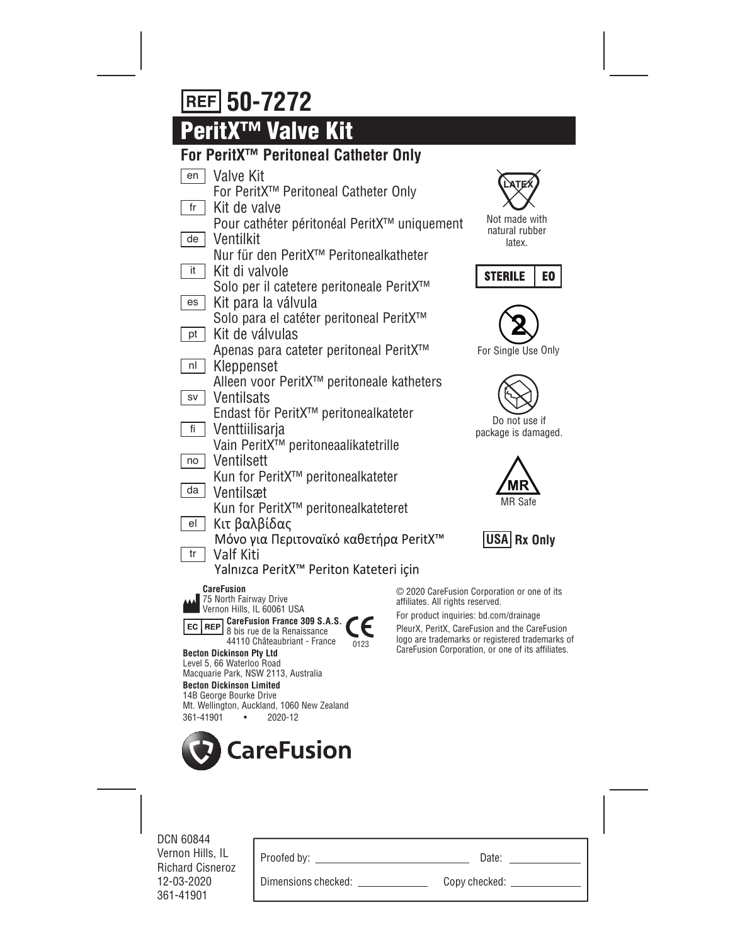# **PeritX™ Valve Kit 50-7272**

## **For PeritX™ Peritoneal Catheter Only**

| en | Valve Kit                                                           |                                             |
|----|---------------------------------------------------------------------|---------------------------------------------|
|    | For PeritX <sup>™</sup> Peritoneal Catheter Only                    |                                             |
| fr | Kit de valve                                                        |                                             |
|    | Pour cathéter péritonéal PeritX <sup>™</sup> uniquement             |                                             |
| de | Ventilkit                                                           |                                             |
|    | Nur für den PeritX <sup>™</sup> Peritonealkatheter                  |                                             |
| it | Kit di valvole                                                      |                                             |
|    | Solo per il catetere peritoneale PeritX™                            |                                             |
| es | Kit para la válvula                                                 |                                             |
|    | Solo para el catéter peritoneal PeritX™                             |                                             |
| pt | Kit de válvulas                                                     |                                             |
|    | Apenas para cateter peritoneal PeritX™                              |                                             |
| nl | Kleppenset                                                          |                                             |
|    | Alleen voor PeritX <sup>™</sup> peritoneale katheters               |                                             |
| SV | Ventilsats                                                          |                                             |
|    | Endast för PeritX <sup>™</sup> peritonealkateter                    |                                             |
| fi | Venttiilisarja                                                      |                                             |
|    | Vain PeritX™ peritoneaalikatetrille                                 |                                             |
| no | Ventilsett                                                          |                                             |
|    | Kun for PeritX <sup>™</sup> peritonealkateter                       |                                             |
| da | Ventilsæt                                                           |                                             |
|    | Kun for PeritX <sup>™</sup> peritonealkateteret                     |                                             |
| el | Κιτ βαλβίδας                                                        |                                             |
|    | Μόνο για Περιτοναϊκό καθετήρα PeritX™                               |                                             |
| tr | Valf Kiti                                                           |                                             |
|    | Yalnızca PeritX <sup>™</sup> Periton Kateteri için                  |                                             |
|    | <b>CareFusion</b><br>75 North Fairway Drive                         | © 2020 CareFusior                           |
|    | Vernon Hills, IL 60061 USA                                          | affiliates. All rights                      |
| EC | REP CareFusion France 309 S.A.S.                                    | For product inquirie<br>PleurX, PeritX, Car |
|    | 8 bis rue de la Renaissance<br>44110 Châteaubriant - France<br>0123 | logo are trademark                          |
|    | <b>Becton Dickinson Pty Ltd</b>                                     | <b>CareFusion Corpora</b>                   |
|    | Level 5, 66 Waterloo Road<br>Macquarie Park, NSW 2113, Australia    |                                             |



Not made with natural rubber latex.







Do not use if package is damaged.





on Corporation or one of its is reserved.

ries: bd.com/drainage

reFusion and the CareFusion ks or registered trademarks of oration, or one of its affiliates.



Mt. Wellington, Auckland, 1060 New Zealand 361-41901 • 2020-12

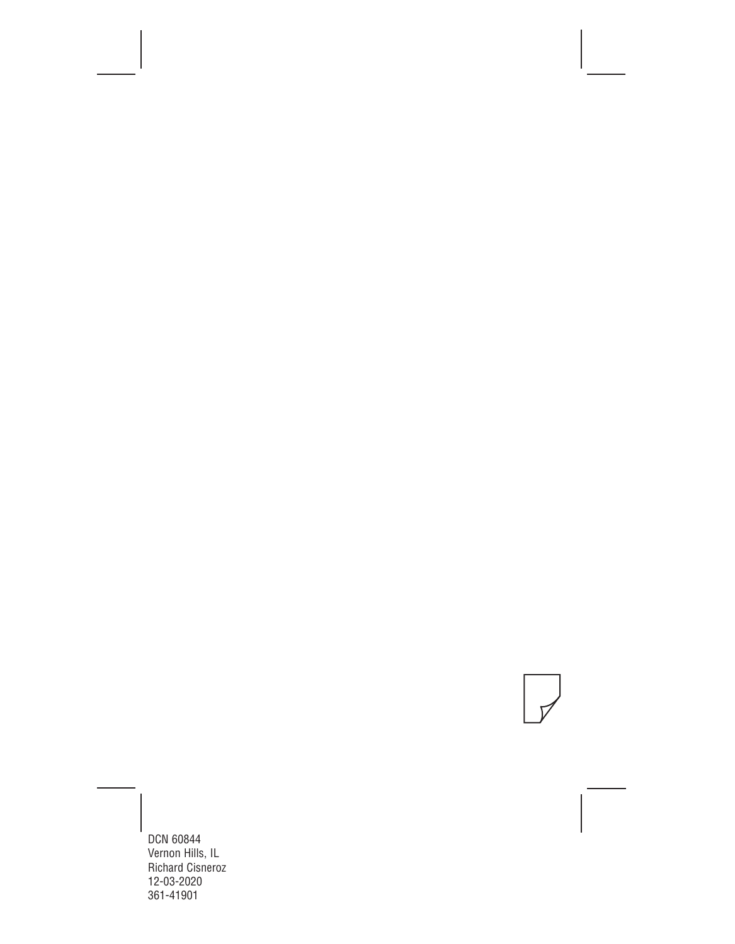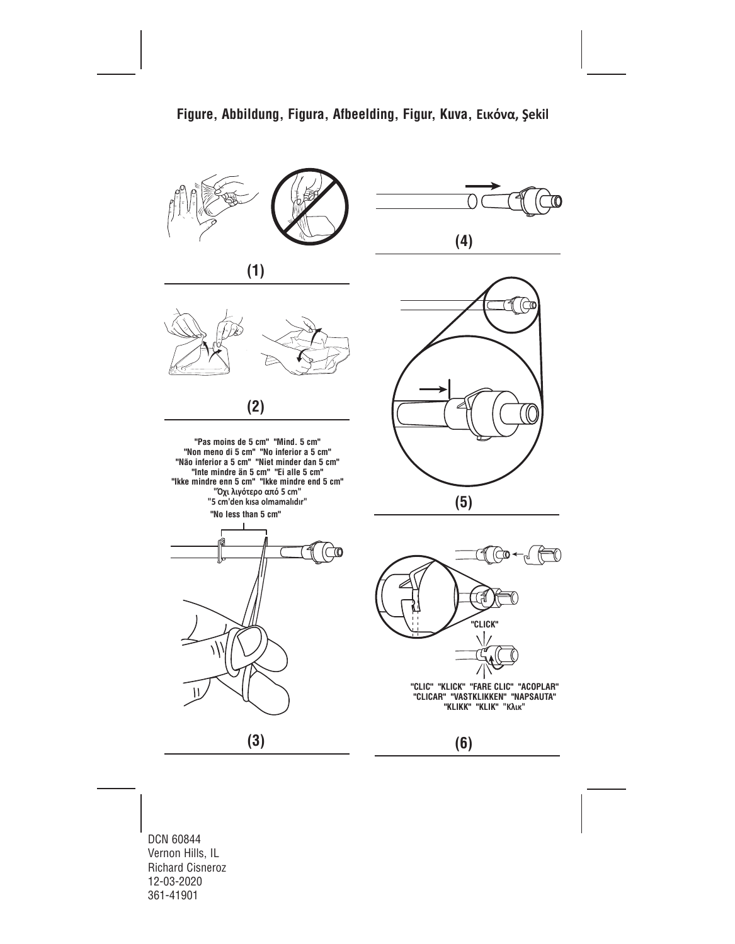

**"Pas moins de 5 cm" "Mind. 5 cm" "Non meno di 5 cm" "No inferior a 5 cm" "Não inferior a 5 cm" "Niet minder dan 5 cm" "Inte mindre än 5 cm" "Ei alle 5 cm" "Ikke mindre enn 5 cm" "Ikke mindre end 5 cm" "Όχι λιγότερο από 5 cm"** 

**(2)**













**(5)**



൚

**"KLIKK" "KLIK" "Κλικ"**





## **Figure, Abbildung, Figura, Afbeelding, Figur, Kuva, Εικόνα, Şekil**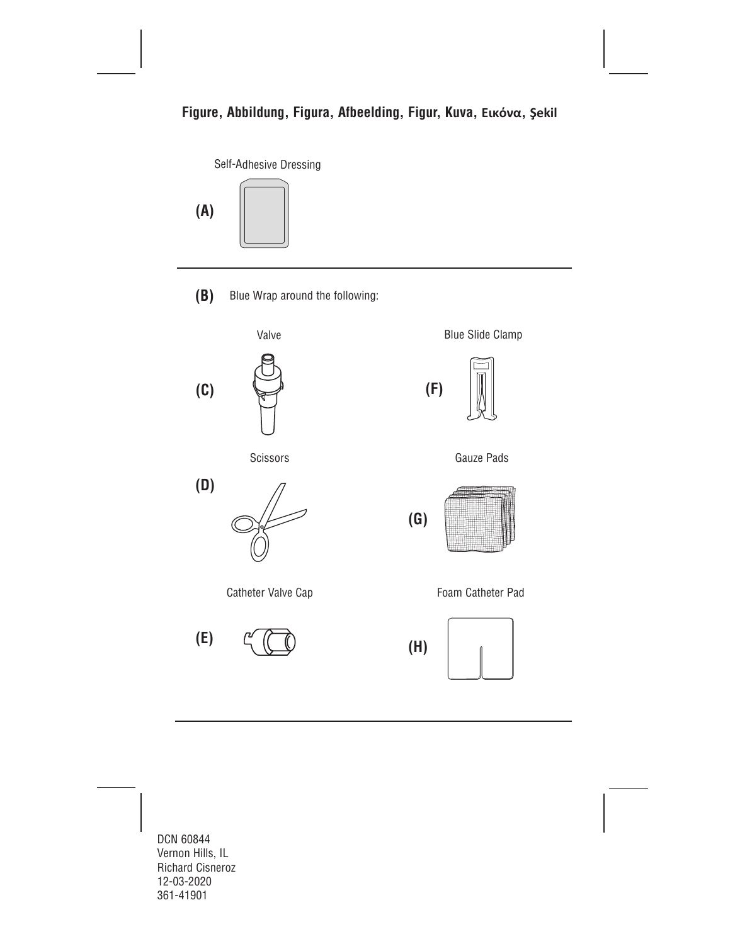

**(A)**



Blue Wrap around the following: **(B)**



**(D)**

Scissors



Catheter Valve Cap

**(E)**











Foam Catheter Pad

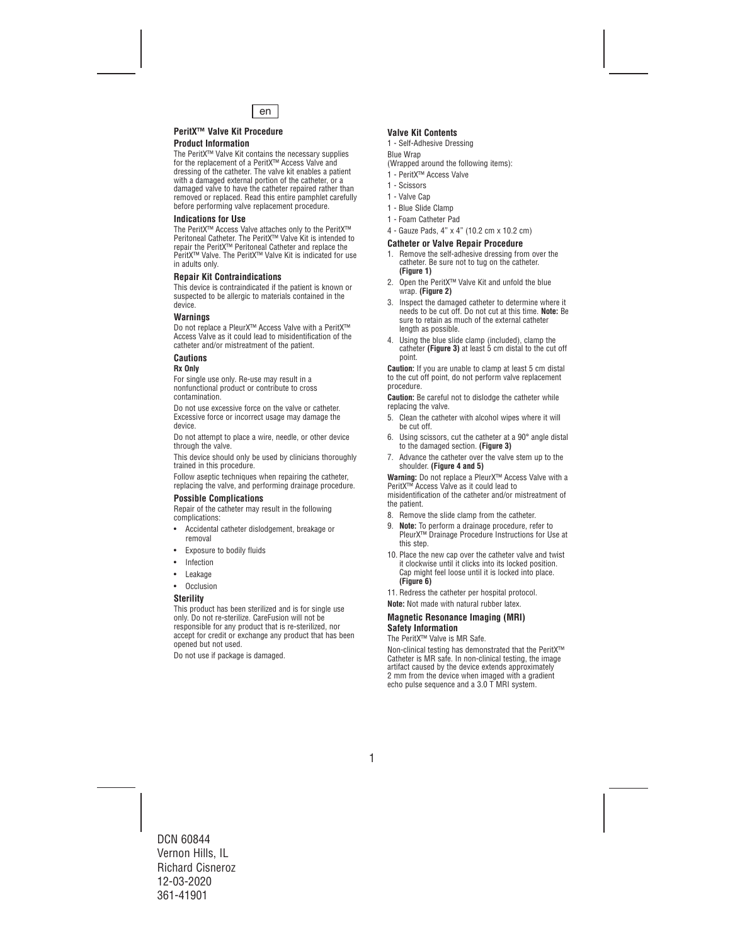

## **PeritX™ Valve Kit Procedure**

#### **Product Information**

The PeritX™ Valve Kit contains the necessary supplies for the replacement of a PeritX™ Access Valve and dressing of the catheter. The valve kit enables a patient with a damaged external portion of the catheter, or a damaged valve to have the catheter repaired rather than removed or replaced. Read this entire pamphlet carefully before performing valve replacement procedure.

#### **Indications for Use**

The PeritX™ Access Valve attaches only to the PeritX™ Peritoneal Catheter. The PeritX™ Valve Kit is intended to repair the PeritX™ Peritoneal Catheter and replace the PeritX™ Valve. The PeritX™ Valve Kit is indicated for use in adults only.

#### **Repair Kit Contraindications**

This device is contraindicated if the patient is known or suspected to be allergic to materials contained in the device.

#### **Warnings**

Do not replace a PleurX™ Access Valve with a PeritX™ Access Valve as it could lead to misidentification of the catheter and/or mistreatment of the patient.

#### **Cautions**

#### **Rx Only**

For single use only. Re-use may result in a nonfunctional product or contribute to cross contamination.

Do not use excessive force on the valve or catheter. Excessive force or incorrect usage may damage the device.

Do not attempt to place a wire, needle, or other device through the valve.

This device should only be used by clinicians thoroughly trained in this procedure.

Follow aseptic techniques when repairing the catheter, replacing the valve, and performing drainage procedure.

#### **Possible Complications**

Repair of the catheter may result in the following complications:

- Accidental catheter dislodgement, breakage or removal
- Exposure to bodily fluids
- **Infection**
- **Leakage**
- **Occlusion**

#### **Sterility**

This product has been sterilized and is for single use only. Do not re-sterilize. CareFusion will not be responsible for any product that is re-sterilized, nor accept for credit or exchange any product that has been opened but not used.

Do not use if package is damaged.

#### **Valve Kit Contents**

1 - Self-Adhesive Dressing

Blue Wrap

- (Wrapped around the following items):
- 1 PeritX™ Access Valve
- 1 Scissors
- 1 Valve Cap
- 1 Blue Slide Clamp
- 1 Foam Catheter Pad
- 4 Gauze Pads, 4" x 4" (10.2 cm x 10.2 cm)

#### **Catheter or Valve Repair Procedure**

- 1. Remove the self-adhesive dressing from over the catheter. Be sure not to tug on the catheter. **(Figure 1)**
- 2. Open the PeritX™ Valve Kit and unfold the blue wrap. **(Figure 2)**
- 3. Inspect the damaged catheter to determine where it needs to be cut off. Do not cut at this time. **Note:** Be sure to retain as much of the external catheter length as possible.
- 4. Using the blue slide clamp (included), clamp the catheter **(Figure 3)** at least 5 cm distal to the cut off point.

**Caution:** If you are unable to clamp at least 5 cm distal to the cut off point, do not perform valve replacement procedure.

**Caution:** Be careful not to dislodge the catheter while replacing the valve.

- 5. Clean the catheter with alcohol wipes where it will be cut off.
- 6. Using scissors, cut the catheter at a 90° angle distal to the damaged section. **(Figure 3)**
- 7. Advance the catheter over the valve stem up to the shoulder. **(Figure 4 and 5)**

**Warning:** Do not replace a PleurX™ Access Valve with a PeritX™ Access Valve as it could lead to misidentification of the catheter and/or mistreatment of the patient.

- 8. Remove the slide clamp from the catheter.
- 9. **Note:** To perform a drainage procedure, refer to PleurX™ Drainage Procedure Instructions for Use at this step.
- 10. Place the new cap over the catheter valve and twist it clockwise until it clicks into its locked position. Cap might feel loose until it is locked into place. **(Figure 6)**
- 11. Redress the catheter per hospital protocol.

**Note:** Not made with natural rubber latex.

#### **Magnetic Resonance Imaging (MRI) Safety Information**

#### The PeritX™ Valve is MR Safe.

Non-clinical testing has demonstrated that the PeritX™ Catheter is MR safe. In non-clinical testing, the image artifact caused by the device extends approximately 2 mm from the device when imaged with a gradient echo pulse sequence and a 3.0 T MRI system.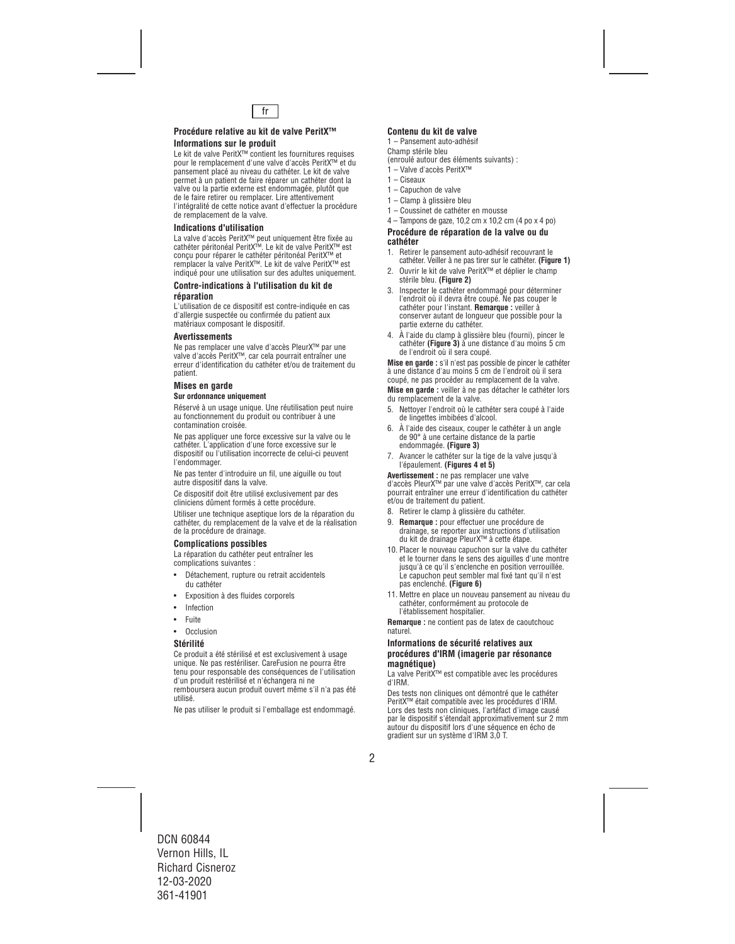

#### **Procédure relative au kit de valve PeritX™ Informations sur le produit**

Le kit de valve PeritX™ contient les fournitures requises pour le remplacement d'une valve d'accès PeritX™ et du pansement placé au niveau du cathéter. Le kit de valve permet à un patient de faire réparer un cathéter dont la valve ou la partie externe est endommagée, plutôt que de le faire retirer ou remplacer. Lire attentivement l'intégralité de cette notice avant d'effectuer la procédure de remplacement de la valve.

#### **Indications d'utilisation**

La valve d'accès PeritX™ peut uniquement être fixée au cathéter péritonéal PeritX™. Le kit de valve PeritX™ est conçu pour réparer le cathéter péritonéal PeritX™ et remplacer la valve PeritX™. Le kit de valve PeritX™ est indiqué pour une utilisation sur des adultes uniquement.

#### **Contre-indications à l'utilisation du kit de réparation**

L'utilisation de ce dispositif est contre-indiquée en cas d'allergie suspectée ou confirmée du patient aux matériaux composant le dispositif.

#### **Avertissements**

Ne pas remplacer une valve d'accès PleurX™ par une valve d'accès PeritX™, car cela pourrait entraîner une erreur d'identification du cathéter et/ou de traitement du patient.

#### **Mises en garde Sur ordonnance uniquement**

Réservé à un usage unique. Une réutilisation peut nuire au fonctionnement du produit ou contribuer à une contamination croisée.

Ne pas appliquer une force excessive sur la valve ou le cathéter. L'application d'une force excessive sur le dispositif ou l'utilisation incorrecte de celui-ci peuvent l'endommager.

Ne pas tenter d'introduire un fil, une aiguille ou tout autre dispositif dans la valve.

Ce dispositif doit être utilisé exclusivement par des cliniciens dûment formés à cette procédure.

Utiliser une technique aseptique lors de la réparation du cathéter, du remplacement de la valve et de la réalisation de la procédure de drainage.

#### **Complications possibles**

La réparation du cathéter peut entraîner les complications suivantes :

- Détachement, rupture ou retrait accidentels du cathéter
- Exposition à des fluides corporels
- **Infection**
- **Fuite**
- Occlusion

#### **Stérilité**

Ce produit a été stérilisé et est exclusivement à usage unique. Ne pas restériliser. CareFusion ne pourra être tenu pour responsable des conséquences de l'utilisation d'un produit restérilisé et n'échangera ni ne remboursera aucun produit ouvert même s'il n'a pas été utilisé.

Ne pas utiliser le produit si l'emballage est endommagé.

#### **Contenu du kit de valve**

1 – Pansement auto-adhésif Champ stérile bleu

(enroulé autour des éléments suivants) :

- 1 Valve d'accès PeritX™
- 1 Ciseaux
- 1 Capuchon de valve
- 1 Clamp à glissière bleu
- 1 Coussinet de cathéter en mousse
- 4 Tampons de gaze, 10,2 cm x 10,2 cm (4 po x 4 po)

#### **Procédure de réparation de la valve ou du cathéter**

- 1. Retirer le pansement auto-adhésif recouvrant le cathéter. Veiller à ne pas tirer sur le cathéter. **(Figure 1)**
- 2. Ouvrir le kit de valve PeritX™ et déplier le champ stérile bleu. **(Figure 2)**
- 3. Inspecter le cathéter endommagé pour déterminer l'endroit où il devra être coupé. Ne pas couper le cathéter pour l'instant. **Remarque :** veiller à conserver autant de longueur que possible pour la partie externe du cathéter.
- 4. À l'aide du clamp à glissière bleu (fourni), pincer le cathéter **(Figure 3)** à une distance d'au moins 5 cm de l'endroit où il sera coupé.

**Mise en garde :** s'il n'est pas possible de pincer le cathéter à une distance d'au moins 5 cm de l'endroit où il sera coupé, ne pas procéder au remplacement de la valve.

**Mise en garde :** veiller à ne pas détacher le cathéter lors du remplacement de la valve.

- 5. Nettoyer l'endroit où le cathéter sera coupé à l'aide de lingettes imbibées d'alcool.
- 6. À l'aide des ciseaux, couper le cathéter à un angle de 90° à une certaine distance de la partie endommagée. **(Figure 3)**
- 7. Avancer le cathéter sur la tige de la valve jusqu'à l'épaulement. **(Figures 4 et 5)**

#### **Avertissement :** ne pas remplacer une valve d'accès PleurX™ par une valve d'accès PeritX™, car cela pourrait entraîner une erreur d'identification du cathéter et/ou de traitement du patient.

- 8. Retirer le clamp à glissière du cathéter.
- 9. **Remarque :** pour effectuer une procédure de drainage, se reporter aux instructions d'utilisation du kit de drainage PleurX™ à cette étape.
- 10. Placer le nouveau capuchon sur la valve du cathéter et le tourner dans le sens des aiguilles d'une montre jusqu'à ce qu'il s'enclenche en position verrouillée. Le capuchon peut sembler mal fixé tant qu'il n'est pas enclenché. **(Figure 6)**
- 11. Mettre en place un nouveau pansement au niveau du cathéter, conformément au protocole de l'établissement hospitalier.

**Remarque :** ne contient pas de latex de caoutchouc naturel.

#### **Informations de sécurité relatives aux procédures d'IRM (imagerie par résonance magnétique)**

La valve PeritX™ est compatible avec les procédures d'IRM.

Des tests non cliniques ont démontré que le cathéter PeritX™ était compatible avec les procédures d'IRM. Lors des tests non cliniques, l'artéfact d'image causé par le dispositif s'étendait approximativement sur 2 mm autour du dispositif lors d'une séquence en écho de gradient sur un système d'IRM 3,0 T.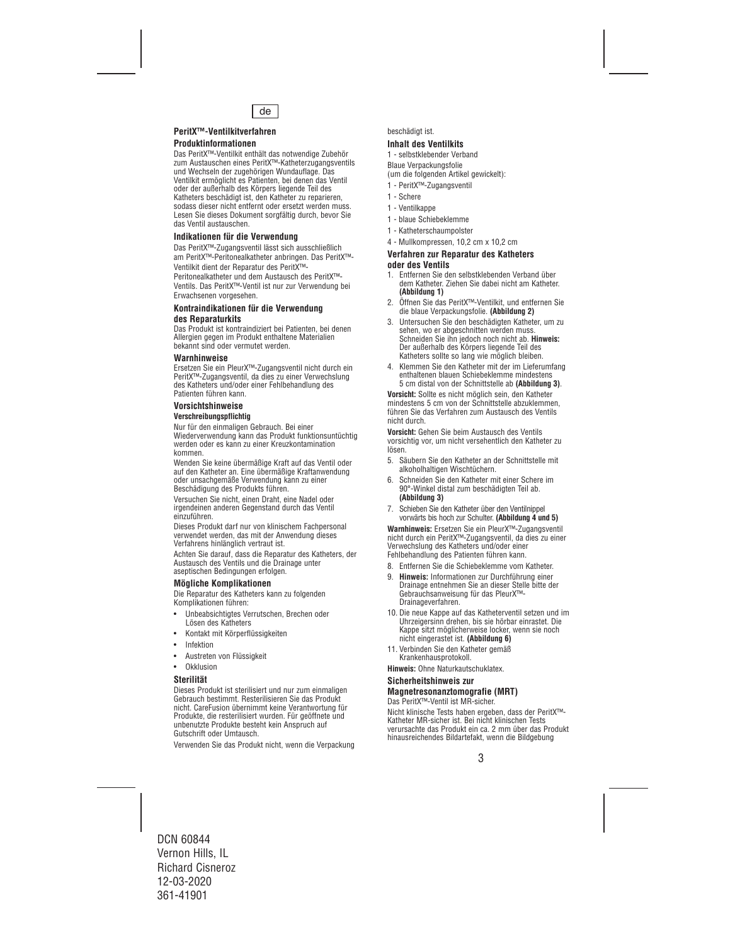

#### **PeritX™-Ventilkitverfahren**

#### **Produktinformationen**

Das PeritX™-Ventilkit enthält das notwendige Zubehör zum Austauschen eines PeritX™-Katheterzugangsventils und Wechseln der zugehörigen Wundauflage. Das Ventilkit ermöglicht es Patienten, bei denen das Ventil oder der außerhalb des Körpers liegende Teil des Katheters beschädigt ist, den Katheter zu reparieren, sodass dieser nicht entfernt oder ersetzt werden muss. Lesen Sie dieses Dokument sorgfältig durch, bevor Sie das Ventil austauschen.

#### **Indikationen für die Verwendung**

Das PeritX™-Zugangsventil lässt sich ausschließlich am PeritX™-Peritonealkatheter anbringen. Das PeritX™- Ventilkit dient der Reparatur des PeritX™-

Peritonealkatheter und dem Austausch des PeritX™- Ventils. Das PeritX™-Ventil ist nur zur Verwendung bei Erwachsenen vorgesehen.

#### **Kontraindikationen für die Verwendung des Reparaturkits**

Das Produkt ist kontraindiziert bei Patienten, bei denen Allergien gegen im Produkt enthaltene Materialien bekannt sind oder vermutet werden.

#### **Warnhinweise**

Ersetzen Sie ein PleurX™-Zugangsventil nicht durch ein PeritX™-Zugangsventil, da dies zu einer Verwechslung des Katheters und/oder einer Fehlbehandlung des Patienten führen kann.

#### **Vorsichtshinweise Verschreibungspflichtig**

Nur für den einmaligen Gebrauch. Bei einer Wiederverwendung kann das Produkt funktionsuntüchtig werden oder es kann zu einer Kreuzkontamination kommen.

Wenden Sie keine übermäßige Kraft auf das Ventil oder auf den Katheter an. Eine übermäßige Kraftanwendung oder unsachgemäße Verwendung kann zu einer Beschädigung des Produkts führen.

Versuchen Sie nicht, einen Draht, eine Nadel oder irgendeinen anderen Gegenstand durch das Ventil einzuführen.

Dieses Produkt darf nur von klinischem Fachpersonal verwendet werden, das mit der Anwendung dieses Verfahrens hinlänglich vertraut ist.

Achten Sie darauf, dass die Reparatur des Katheters, der Austausch des Ventils und die Drainage unter aseptischen Bedingungen erfolgen.

#### **Mögliche Komplikationen**

Die Reparatur des Katheters kann zu folgenden Komplikationen führen:

- Unbeabsichtigtes Verrutschen, Brechen oder Lösen des Katheters
- Kontakt mit Körperflüssigkeiten
- **Infektion**
- Austreten von Flüssigkeit
- **Okklusion**

#### **Sterilität**

Dieses Produkt ist sterilisiert und nur zum einmaligen Gebrauch bestimmt. Resterilisieren Sie das Produkt nicht. CareFusion übernimmt keine Verantwortung für Produkte, die resterilisiert wurden. Für geöffnete und unbenutzte Produkte besteht kein Anspruch auf Gutschrift oder Umtausch.

Verwenden Sie das Produkt nicht, wenn die Verpackung

beschädigt ist.

#### **Inhalt des Ventilkits**

1 - selbstklebender Verband

Blaue Verpackungsfolie (um die folgenden Artikel gewickelt):

- 1 PeritX™-Zugangsventil
- 1 Schere
- 1 Ventilkappe
- 1 blaue Schiebeklemme
- 1 Katheterschaumpolster
- 4 Mullkompressen, 10,2 cm x 10,2 cm

#### **Verfahren zur Reparatur des Katheters oder des Ventils**

- 1. Entfernen Sie den selbstklebenden Verband über dem Katheter. Ziehen Sie dabei nicht am Katheter. **(Abbildung 1)**
- 2. Öffnen Sie das PeritX™-Ventilkit, und entfernen Sie die blaue Verpackungsfolie. **(Abbildung 2)**
- 3. Untersuchen Sie den beschädigten Katheter, um zu sehen, wo er abgeschnitten werden muss. Schneiden Sie ihn jedoch noch nicht ab. **Hinweis:** Der außerhalb des Körpers liegende Teil des Katheters sollte so lang wie möglich bleiben.
- 4. Klemmen Sie den Katheter mit der im Lieferumfang enthaltenen blauen Schiebeklemme mindestens 5 cm distal von der Schnittstelle ab **(Abbildung 3)**.

**Vorsicht:** Sollte es nicht möglich sein, den Katheter mindestens 5 cm von der Schnittstelle abzuklemmen, führen Sie das Verfahren zum Austausch des Ventils nicht durch.

**Vorsicht:** Gehen Sie beim Austausch des Ventils vorsichtig vor, um nicht versehentlich den Katheter zu lösen.

- 5. Säubern Sie den Katheter an der Schnittstelle mit alkoholhaltigen Wischtüchern.
- 6. Schneiden Sie den Katheter mit einer Schere im 90°-Winkel distal zum beschädigten Teil ab. **(Abbildung 3)**
- 7. Schieben Sie den Katheter über den Ventilnippel vorwärts bis hoch zur Schulter. **(Abbildung 4 und 5)**

**Warnhinweis:** Ersetzen Sie ein PleurX™-Zugangsventil nicht durch ein PeritX™-Zugangsventil, da dies zu einer Verwechslung des Katheters und/oder einer Fehlbehandlung des Patienten führen kann.

- 8. Entfernen Sie die Schiebeklemme vom Katheter.
- 9. **Hinweis:** Informationen zur Durchführung einer Drainage entnehmen Sie an dieser Stelle bitte der Gebrauchsanweisung für das PleurX™- Drainageverfahren.
- 10. Die neue Kappe auf das Katheterventil setzen und im Uhrzeigersinn drehen, bis sie hörbar einrastet. Die Kappe sitzt möglicherweise locker, wenn sie noch nicht eingerastet ist. **(Abbildung 6)**
- 11. Verbinden Sie den Katheter gemäß Krankenhausprotokoll.

**Hinweis:** Ohne Naturkautschuklatex.

#### **Sicherheitshinweis zur Magnetresonanztomografie (MRT)**

Das PeritX™-Ventil ist MR-sicher.

Nicht klinische Tests haben ergeben, dass der PeritX™- Katheter MR-sicher ist. Bei nicht klinischen Tests verursachte das Produkt ein ca. 2 mm über das Produkt hinausreichendes Bildartefakt, wenn die Bildgebung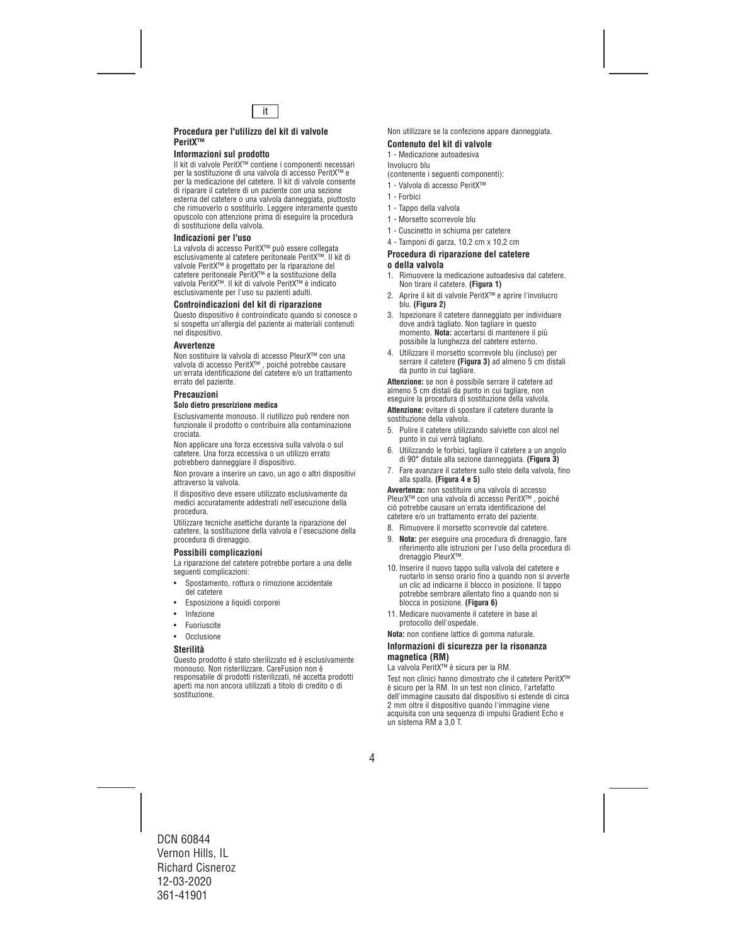

#### **Procedura per l'utilizzo del kit di valvole PeritX™**

#### **Informazioni sul prodotto**

Il kit di valvole PeritX™ contiene i componenti necessari per la sostituzione di una valvola di accesso PeritX™ e per la medicazione del catetere. Il kit di valvole consente di riparare il catetere di un paziente con una sezione esterna del catetere o una valvola danneggiata, piuttosto che rimuoverlo o sostituirlo. Leggere interamente questo opuscolo con attenzione prima di eseguire la procedura di sostituzione della valvola.

#### **Indicazioni per l'uso**

La valvola di accesso PeritX™ può essere collegata esclusivamente al catetere peritoneale PeritX™. Il kit di valvole PeritX™ è progettato per la riparazione del catetere peritoneale PeritX™ e la sostituzione della valvola PeritX™. Il kit di valvole PeritX™ è indicato esclusivamente per l'uso su pazienti adulti.

#### **Controindicazioni del kit di riparazione**

Questo dispositivo è controindicato quando si conosce o si sospetta un'allergia del paziente ai materiali contenuti nel dispositivo.

#### **Avvertenze**

Non sostituire la valvola di accesso PleurX™ con una valvola di accesso PeritX™ , poiché potrebbe causare un'errata identificazione del catetere e/o un trattamento errato del paziente.

#### **Precauzioni**

#### **Solo dietro prescrizione medica**

Esclusivamente monouso. Il riutilizzo può rendere non funzionale il prodotto o contribuire alla contaminazione crociata.

Non applicare una forza eccessiva sulla valvola o sul catetere. Una forza eccessiva o un utilizzo errato potrebbero danneggiare il dispositivo.

Non provare a inserire un cavo, un ago o altri dispositivi attraverso la valvola.

Il dispositivo deve essere utilizzato esclusivamente da medici accuratamente addestrati nell'esecuzione della procedura.

Utilizzare tecniche asettiche durante la riparazione del catetere, la sostituzione della valvola e l'esecuzione della procedura di drenaggio.

#### **Possibili complicazioni**

La riparazione del catetere potrebbe portare a una delle seguenti complicazioni:

- Spostamento, rottura o rimozione accidentale del catetere
- Esposizione a liquidi corporei
- **Infezione**
- **Fuoriuscite**
- **Occlusione**

#### **Sterilità**

Questo prodotto è stato sterilizzato ed è esclusivamente monouso. Non risterilizzare. CareFusion non è responsabile di prodotti risterilizzati, né accetta prodotti aperti ma non ancora utilizzati a titolo di credito o di sostituzione.

Non utilizzare se la confezione appare danneggiata.

#### **Contenuto del kit di valvole**

1 - Medicazione autoadesiva

Involucro blu

(contenente i seguenti componenti):

- 1 Valvola di accesso PeritX™
- 1 Forbici
- 1 Tappo della valvola
- 1 Morsetto scorrevole blu
- 1 Cuscinetto in schiuma per catetere
- 4 Tamponi di garza, 10,2 cm x 10,2 cm

#### **Procedura di riparazione del catetere o della valvola**

- 1. Rimuovere la medicazione autoadesiva dal catetere. Non tirare il catetere. **(Figura 1)**
- 2. Aprire il kit di valvole PeritX™ e aprire l'involucro blu. **(Figura 2)**
- 3. Ispezionare il catetere danneggiato per individuare dove andrà tagliato. Non tagliare in questo momento. **Nota:** accertarsi di mantenere il più possibile la lunghezza del catetere esterno.
- 4. Utilizzare il morsetto scorrevole blu (incluso) per serrare il catetere **(Figura 3)** ad almeno 5 cm distali da punto in cui tagliare.

**Attenzione:** se non è possibile serrare il catetere ad almeno 5 cm distali da punto in cui tagliare, non eseguire la procedura di sostituzione della valvola.

**Attenzione:** evitare di spostare il catetere durante la sostituzione della valvola.

- 5. Pulire il catetere utilizzando salviette con alcol nel punto in cui verrà tagliato.
- 6. Utilizzando le forbici, tagliare il catetere a un angolo di 90° distale alla sezione danneggiata. **(Figura 3)**
- 7. Fare avanzare il catetere sullo stelo della valvola, fino alla spalla. **(Figura 4 e 5)**

**Avvertenza:** non sostituire una valvola di accesso PleurX™ con una valvola di accesso PeritX™ , poiché ciò potrebbe causare un'errata identificazione del catetere e/o un trattamento errato del paziente.

- 8. Rimuovere il morsetto scorrevole dal catetere.
- 9. **Nota:** per eseguire una procedura di drenaggio, fare riferimento alle istruzioni per l'uso della procedura di drenaggio PleurX™.
- 10. Inserire il nuovo tappo sulla valvola del catetere e ruotarlo in senso orario fino a quando non si avverte un clic ad indicarne il blocco in posizione. Il tappo potrebbe sembrare allentato fino a quando non si blocca in posizione. **(Figura 6)**
- 11. Medicare nuovamente il catetere in base al protocollo dell'ospedale.

**Nota:** non contiene lattice di gomma naturale.

#### **Informazioni di sicurezza per la risonanza magnetica (RM)**

La valvola PeritX™ è sicura per la RM.

Test non clinici hanno dimostrato che il catetere PeritX™ è sicuro per la RM. In un test non clinico, l'artefatto dell'immagine causato dal dispositivo si estende di circa 2 mm oltre il dispositivo quando l'immagine viene acquisita con una sequenza di impulsi Gradient Echo e un sistema RM a 3,0 T.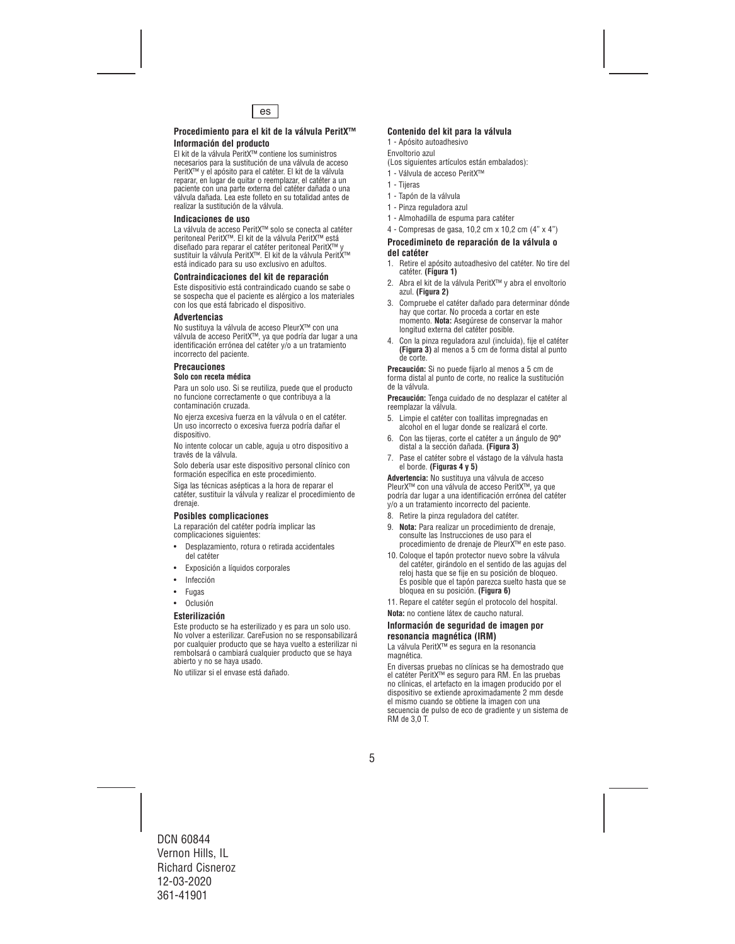

#### **Procedimiento para el kit de la válvula PeritX™ Información del producto**

El kit de la válvula PeritX™ contiene los suministros necesarios para la sustitución de una válvula de acceso PeritX™ y el apósito para el catéter. El kit de la válvula reparar, en lugar de quitar o reemplazar, el catéter a un paciente con una parte externa del catéter dañada o una válvula dañada. Lea este folleto en su totalidad antes de realizar la sustitución de la válvula.

#### **Indicaciones de uso**

La válvula de acceso PeritX™ solo se conecta al catéter peritoneal PeritX™. El kit de la válvula PeritX™ está diseñado para reparar el catéter peritoneal PeritX™ y sustituir la válvula PeritX™. El kit de la válvula PeritX™ está indicado para su uso exclusivo en adultos.

#### **Contraindicaciones del kit de reparación**

Este dispositivio está contraindicado cuando se sabe o se sospecha que el paciente es alérgico a los materiales con los que está fabricado el dispositivo.

#### **Advertencias**

No sustituya la válvula de acceso PleurX™ con una válvula de acceso PeritX™, ya que podría dar lugar a una identificación errónea del catéter y/o a un tratamiento incorrecto del paciente.

#### **Precauciones**

#### **Solo con receta médica**

Para un solo uso. Si se reutiliza, puede que el producto no funcione correctamente o que contribuya a la contaminación cruzada.

No ejerza excesiva fuerza en la válvula o en el catéter. Un uso incorrecto o excesiva fuerza podría dañar el dispositivo.

No intente colocar un cable, aguja u otro dispositivo a través de la válvula.

Solo debería usar este dispositivo personal clínico con formación específica en este procedimiento.

Siga las técnicas asépticas a la hora de reparar el catéter, sustituir la válvula y realizar el procedimiento de drenaje.

#### **Posibles complicaciones**

La reparación del catéter podría implicar las complicaciones siguientes:

- Desplazamiento, rotura o retirada accidentales del catéter
- Exposición a líquidos corporales
- Infección
- Fugas
- Oclusión

#### **Esterilización**

Este producto se ha esterilizado y es para un solo uso. No volver a esterilizar. CareFusion no se responsabilizará por cualquier producto que se haya vuelto a esterilizar ni rembolsará o cambiará cualquier producto que se haya abierto y no se haya usado.

No utilizar si el envase está dañado.

#### **Contenido del kit para la válvula**

1 - Apósito autoadhesivo

Envoltorio azul

- (Los siguientes artículos están embalados):
- 1 Válvula de acceso PeritX™
- 1 Tijeras
- 1 Tapón de la válvula
- 1 Pinza reguladora azul
- 1 Almohadilla de espuma para catéter
- 4 Compresas de gasa, 10,2 cm x 10,2 cm (4" x 4")

#### **Procedimineto de reparación de la válvula o del catéter**

- 1. Retire el apósito autoadhesivo del catéter. No tire del catéter. **(Figura 1)**
- 2. Abra el kit de la válvula PeritX™ y abra el envoltorio azul. **(Figura 2)**
- 3. Compruebe el catéter dañado para determinar dónde hay que cortar. No proceda a cortar en este momento. **Nota:** Asegúrese de conservar la mahor longitud externa del catéter posible.
- 4. Con la pinza reguladora azul (incluida), fije el catéter **(Figura 3)** al menos a 5 cm de forma distal al punto de corte.

**Precaución:** Si no puede fijarlo al menos a 5 cm de forma distal al punto de corte, no realice la sustitución de la válvula.

**Precaución:** Tenga cuidado de no desplazar el catéter al reemplazar la válvula.

- 5. Limpie el catéter con toallitas impregnadas en alcohol en el lugar donde se realizará el corte.
- 6. Con las tijeras, corte el catéter a un ángulo de 90° distal a la sección dañada. **(Figura 3)**
- 7. Pase el catéter sobre el vástago de la válvula hasta el borde. **(Figuras 4 y 5)**

**Advertencia:** No sustituya una válvula de acceso PleurX™ con una válvula de acceso PeritX™, ya que podría dar lugar a una identificación errónea del catéter y/o a un tratamiento incorrecto del paciente.

- 8. Retire la pinza reguladora del catéter.
- 9. **Nota:** Para realizar un procedimiento de drenaje, consulte las Instrucciones de uso para el procedimiento de drenaje de PleurX™ en este paso.
- 10. Coloque el tapón protector nuevo sobre la válvula del catéter, girándolo en el sentido de las agujas del reloj hasta que se fije en su posición de bloqueo. Es posible que el tapón parezca suelto hasta que se bloquea en su posición. **(Figura 6)**
- 11. Repare el catéter según el protocolo del hospital.

**Nota:** no contiene látex de caucho natural.

#### **Información de seguridad de imagen por resonancia magnética (IRM)**

La válvula PeritX™ es segura en la resonancia magnética.

En diversas pruebas no clínicas se ha demostrado que el catéter PeritX™ es seguro para RM. En las pruebas no clínicas, el artefacto en la imagen producido por el dispositivo se extiende aproximadamente 2 mm desde el mismo cuando se obtiene la imagen con una secuencia de pulso de eco de gradiente y un sistema de RM de 3,0 T.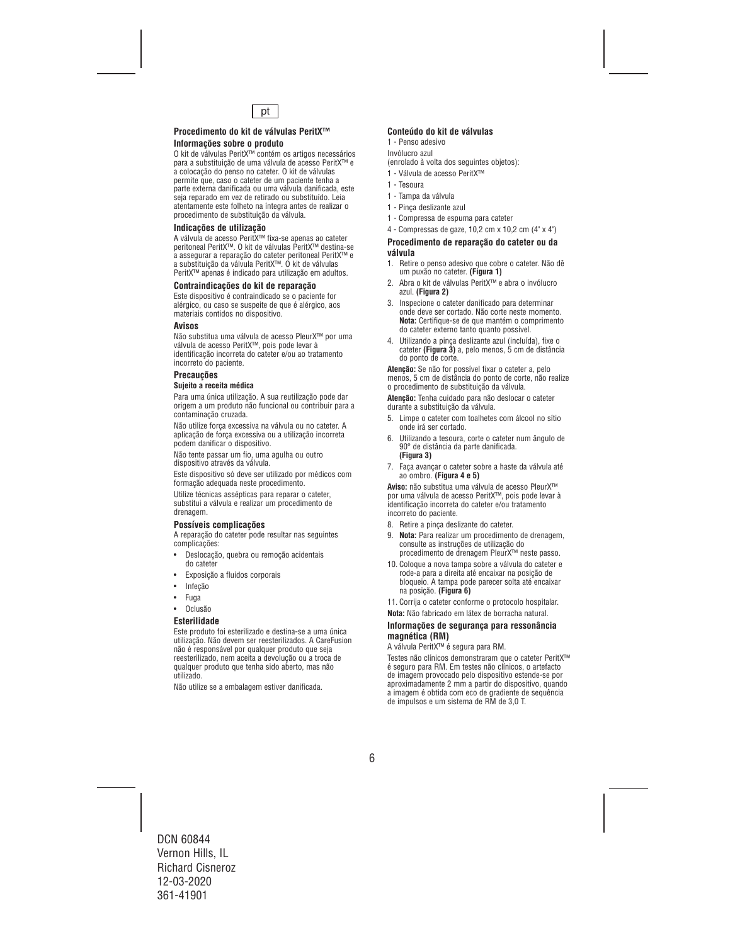

#### **Procedimento do kit de válvulas PeritX™ Informações sobre o produto**

O kit de válvulas PeritX™ contém os artigos necessários para a substituição de uma válvula de acesso PeritX™ e a colocação do penso no cateter. O kit de válvulas permite que, caso o cateter de um paciente tenha a parte externa danificada ou uma válvula danificada, este seja reparado em vez de retirado ou substituído. Leia atentamente este folheto na íntegra antes de realizar o procedimento de substituição da válvula.

#### **Indicações de utilização**

A válvula de acesso PeritX™ fixa-se apenas ao cateter peritoneal PeritX™. O kit de válvulas PeritX™ destina-se a assegurar a reparação do cateter peritoneal PeritX™ e a substituição da válvula PeritX™. O kit de válvulas PeritX™ apenas é indicado para utilização em adultos.

#### **Contraindicações do kit de reparação**

Este dispositivo é contraindicado se o paciente for alérgico, ou caso se suspeite de que é alérgico, aos materiais contidos no dispositivo.

#### **Avisos**

Não substitua uma válvula de acesso PleurX™ por uma válvula de acesso PeritX™, pois pode levar à identificação incorreta do cateter e/ou ao tratamento incorreto do paciente.

#### **Precauções Sujeito a receita médica**

Para uma única utilização. A sua reutilização pode dar origem a um produto não funcional ou contribuir para a contaminação cruzada.

Não utilize força excessiva na válvula ou no cateter. A aplicação de força excessiva ou a utilização incorreta podem danificar o dispositivo.

Não tente passar um fio, uma agulha ou outro dispositivo através da válvula.

Este dispositivo só deve ser utilizado por médicos com formação adequada neste procedimento.

Utilize técnicas assépticas para reparar o cateter, substitui a válvula e realizar um procedimento de drenagem.

#### **Possíveis complicações**

A reparação do cateter pode resultar nas seguintes complicações:

- Deslocação, quebra ou remoção acidentais do cateter
- Exposição a fluidos corporais
- **Infecão**
- Fuga
- Oclusão

#### **Esterilidade**

Este produto foi esterilizado e destina-se a uma única utilização. Não devem ser reesterilizados. A CareFusion não é responsável por qualquer produto que seja reesterilizado, nem aceita a devolução ou a troca de qualquer produto que tenha sido aberto, mas não utilizado.

Não utilize se a embalagem estiver danificada.

#### **Conteúdo do kit de válvulas**

1 - Penso adesivo

Invólucro azul

(enrolado à volta dos seguintes objetos):

- 1 Válvula de acesso PeritX™
- 1 Tesoura
- 1 Tampa da válvula
- 1 Pinça deslizante azul
- 1 Compressa de espuma para cateter
- 4 Compressas de gaze, 10,2 cm x 10,2 cm (4" x 4")

#### **Procedimento de reparação do cateter ou da válvula**

- 1. Retire o penso adesivo que cobre o cateter. Não dê um puxão no cateter. **(Figura 1)**
- 2. Abra o kit de válvulas PeritX™ e abra o invólucro azul. **(Figura 2)**
- 3. Inspecione o cateter danificado para determinar onde deve ser cortado. Não corte neste momento. **Nota:** Certifique-se de que mantém o comprimento do cateter externo tanto quanto possível.
- 4. Utilizando a pinça deslizante azul (incluída), fixe o cateter **(Figura 3)** a, pelo menos, 5 cm de distância do ponto de corte.

**Atenção:** Se não for possível fixar o cateter a, pelo menos, 5 cm de distância do ponto de corte, não realize o procedimento de substituição da válvula.

**Atenção:** Tenha cuidado para não deslocar o cateter durante a substituição da válvula.

- 5. Limpe o cateter com toalhetes com álcool no sítio onde irá ser cortado.
- 6. Utilizando a tesoura, corte o cateter num ângulo de 90° de distância da parte danificada. **(Figura 3)**
- 7. Faça avançar o cateter sobre a haste da válvula até ao ombro. **(Figura 4 e 5)**

**Aviso:** não substitua uma válvula de acesso PleurX™ por uma válvula de acesso PeritX™, pois pode levar à identificação incorreta do cateter e/ou tratamento incorreto do paciente.

- 8. Retire a pinça deslizante do cateter.
- 9. **Nota:** Para realizar um procedimento de drenagem, consulte as instruções de utilização do procedimento de drenagem PleurX™ neste passo.
- 10. Coloque a nova tampa sobre a válvula do cateter e rode-a para a direita até encaixar na posição de bloqueio. A tampa pode parecer solta até encaixar na posição. **(Figura 6)**
- 11. Corrija o cateter conforme o protocolo hospitalar.

**Nota:** Não fabricado em látex de borracha natural.

#### **Informações de segurança para ressonância magnética (RM)**

A válvula PeritX™ é segura para RM.

Testes não clínicos demonstraram que o cateter PeritX™ é seguro para RM. Em testes não clínicos, o artefacto de imagem provocado pelo dispositivo estende-se por aproximadamente 2 mm a partir do dispositivo, quando a imagem é obtida com eco de gradiente de sequência de impulsos e um sistema de RM de 3,0 T.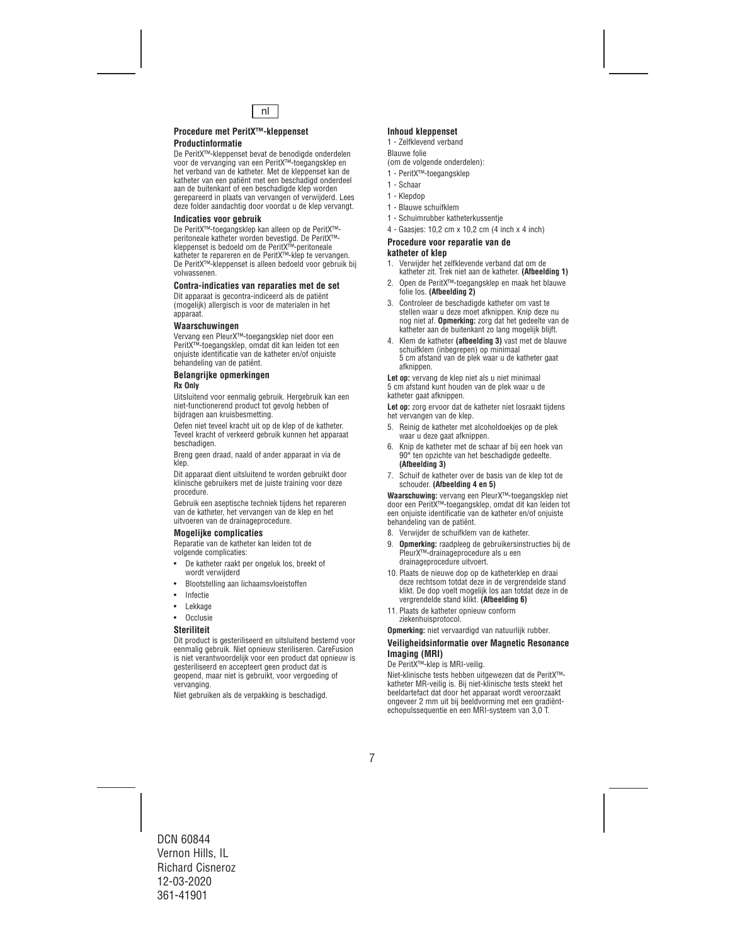

#### **Procedure met PeritX™-kleppenset Productinformatie**

De PeritX™-kleppenset bevat de benodigde onderdelen voor de vervanging van een PeritX™-toegangsklep en het verband van de katheter. Met de kleppenset kan de katheter van een patiënt met een beschadigd onderdeel aan de buitenkant of een beschadigde klep worden gerepareerd in plaats van vervangen of verwijderd. Lees deze folder aandachtig door voordat u de klep vervangt.

#### **Indicaties voor gebruik**

De PeritX™-toegangsklep kan alleen op de PeritX™ peritoneale katheter worden bevestigd. De PeritX™ kleppenset is bedoeld om de PeritX™-peritoneale katheter te repareren en de PeritX™-klep te vervangen. De PeritX™-kleppenset is alleen bedoeld voor gebruik bij volwassenen.

#### **Contra-indicaties van reparaties met de set**

Dit apparaat is gecontra-indiceerd als de patiënt (mogelijk) allergisch is voor de materialen in het apparaat.

#### **Waarschuwingen**

Vervang een PleurX™-toegangsklep niet door een PeritX™-toegangsklep, omdat dit kan leiden tot een onjuiste identificatie van de katheter en/of onjuiste behandeling van de patiënt.

#### **Belangrijke opmerkingen Rx Only**

Uitsluitend voor eenmalig gebruik. Hergebruik kan een niet-functionerend product tot gevolg hebben of bijdragen aan kruisbesmetting.

Oefen niet teveel kracht uit op de klep of de katheter. Teveel kracht of verkeerd gebruik kunnen het apparaat beschadigen.

Breng geen draad, naald of ander apparaat in via de klep.

Dit apparaat dient uitsluitend te worden gebruikt door klinische gebruikers met de juiste training voor deze procedure.

Gebruik een aseptische techniek tijdens het repareren van de katheter, het vervangen van de klep en het uitvoeren van de drainageprocedure.

#### **Mogelijke complicaties**

Reparatie van de katheter kan leiden tot de volgende complicaties:

- De katheter raakt per ongeluk los, breekt of wordt verwijderd
- Blootstelling aan lichaamsvloeistoffen
- **Infectie**
- **Lekkage**
- **Occlusie**

#### **Steriliteit**

Dit product is gesteriliseerd en uitsluitend bestemd voor eenmalig gebruik. Niet opnieuw steriliseren. CareFusion is niet verantwoordelijk voor een product dat opnieuw is gesteriliseerd en accepteert geen product dat is geopend, maar niet is gebruikt, voor vergoeding of vervanging.

Niet gebruiken als de verpakking is beschadigd.

#### **Inhoud kleppenset**

1 - Zelfklevend verband Blauwe folie

(om de volgende onderdelen):

- 1 PeritX™-toegangsklep
- 1 Schaar
- 1 Klepdop
- 1 Blauwe schuifklem
- 1 Schuimrubber katheterkussentje
- 4 Gaasjes: 10,2 cm x 10,2 cm (4 inch x 4 inch)

#### **Procedure voor reparatie van de katheter of klep**

- 1. Verwijder het zelfklevende verband dat om de katheter zit. Trek niet aan de katheter. **(Afbeelding 1)**
- 2. Open de PeritX™-toegangsklep en maak het blauwe folie los. **(Afbeelding 2)**
- 3. Controleer de beschadigde katheter om vast te stellen waar u deze moet afknippen. Knip deze nu nog niet af. **Opmerking:** zorg dat het gedeelte van de katheter aan de buitenkant zo lang mogelijk blijft.
- 4. Klem de katheter **(afbeelding 3)** vast met de blauwe schuifklem (inbegrepen) op minimaal 5 cm afstand van de plek waar u de katheter gaat afknippen.

**Let op:** vervang de klep niet als u niet minimaal 5 cm afstand kunt houden van de plek waar u de katheter gaat afknippen.

**Let op:** zorg ervoor dat de katheter niet losraakt tijdens het vervangen van de klep.

- 5. Reinig de katheter met alcoholdoekjes op de plek waar u deze gaat afknippen.
- 6. Knip de katheter met de schaar af bij een hoek van 90° ten opzichte van het beschadigde gedeelte. **(Afbeelding 3)**
- 7. Schuif de katheter over de basis van de klep tot de schouder. **(Afbeelding 4 en 5)**

**Waarschuwing:** vervang een PleurX™-toegangsklep niet door een PeritX™-toegangsklep, omdat dit kan leiden tot een onjuiste identificatie van de katheter en/of onjuiste behandeling van de patiënt.

- 8. Verwijder de schuifklem van de katheter.
- 9. **Opmerking:** raadpleeg de gebruikersinstructies bij de PleurX™-drainageprocedure als u een drainageprocedure uitvoert.
- 10. Plaats de nieuwe dop op de katheterklep en draai deze rechtsom totdat deze in de vergrendelde stand klikt. De dop voelt mogelijk los aan totdat deze in de vergrendelde stand klikt. **(Afbeelding 6)**
- 11. Plaats de katheter opnieuw conform ziekenhuisprotocol.

**Opmerking:** niet vervaardigd van natuurlijk rubber.

#### **Veiligheidsinformatie over Magnetic Resonance Imaging (MRI)**

De PeritX™-klep is MRI-veilig.

Niet-klinische tests hebben uitgewezen dat de PeritX™ katheter MR-veilig is. Bij niet-klinische tests steekt het beeldartefact dat door het apparaat wordt veroorzaakt ongeveer 2 mm uit bij beeldvorming met een gradiëntechopulssequentie en een MRI-systeem van 3,0 T.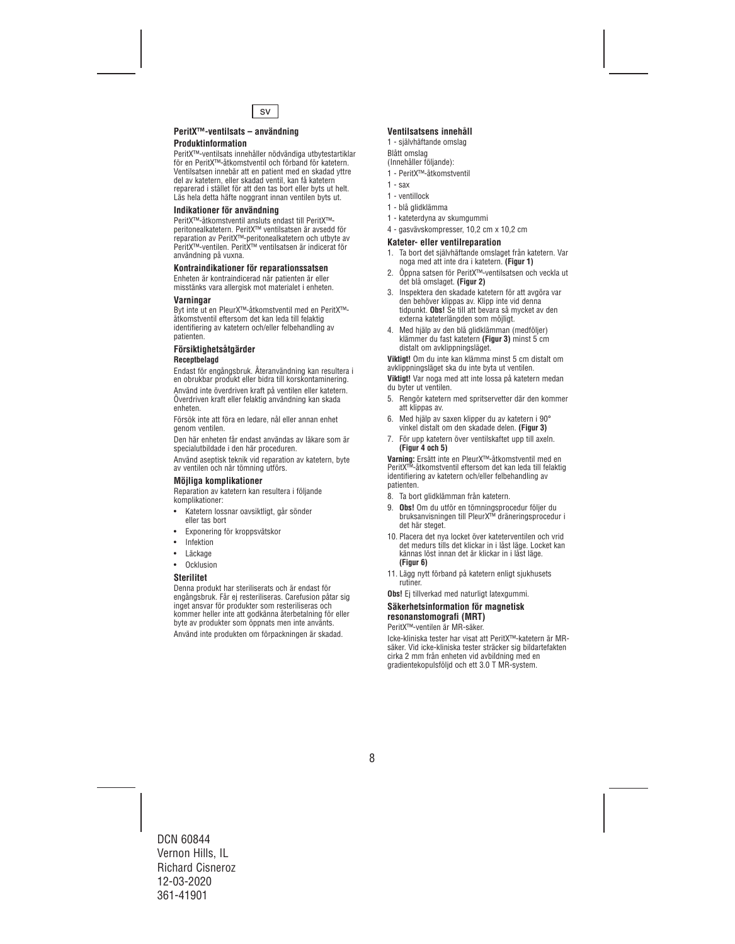

#### **PeritX™-ventilsats – användning Produktinformation**

PeritX™-ventilsats innehåller nödvändiga utbytestartiklar för en PeritX™-åtkomstventil och förband för katetern. Ventilsatsen innebär att en patient med en skadad yttre del av katetern, eller skadad ventil, kan få katetern reparerad i stället för att den tas bort eller byts ut helt. Läs hela detta häfte noggrant innan ventilen byts ut.

#### **Indikationer för användning**

PeritX™-åtkomstventil ansluts endast till PeritX™ peritonealkatetern. PeritX™ ventilsatsen är avsedd för reparation av PeritX™-peritonealkatetern och utbyte av PeritX™-ventilen. PeritX™ ventilsatsen är indicerat för användning på vuxna.

#### **Kontraindikationer för reparationssatsen**

Enheten är kontraindicerad när patienten är eller misstänks vara allergisk mot materialet i enheten.

#### **Varningar**

Byt inte ut en PleurX™-åtkomstventil med en PeritX™ åtkomstventil eftersom det kan leda till felaktig identifiering av katetern och/eller felbehandling av patienten.

#### **Försiktighetsåtgärder Receptbelagd**

Endast för engångsbruk. Återanvändning kan resultera i en obrukbar produkt eller bidra till korskontaminering.

Använd inte överdriven kraft på ventilen eller katetern. Överdriven kraft eller felaktig användning kan skada enheten.

Försök inte att föra en ledare, nål eller annan enhet genom ventilen.

Den här enheten får endast användas av läkare som är specialutbildade i den här proceduren.

Använd aseptisk teknik vid reparation av katetern, byte av ventilen och när tömning utförs.

#### **Möjliga komplikationer**

Reparation av katetern kan resultera i följande komplikationer:

- Katetern lossnar oavsiktligt, går sönder eller tas bort
- Exponering för kroppsvätskor
- **Infektion**
- **Läckage**
- **Ocklusion**

#### **Sterilitet**

Denna produkt har steriliserats och är endast för engångsbruk. Får ej resteriliseras. Carefusion påtar sig inget ansvar för produkter som resteriliseras och kommer heller inte att godkänna återbetalning för eller byte av produkter som öppnats men inte använts.

Använd inte produkten om förpackningen är skadad.

#### **Ventilsatsens innehåll**

1 - självhäftande omslag Blått omslag (Innehåller följande):

- 1 PeritX™-åtkomstventil
- $1 s$ ax
- 1 ventillock
- 1 blå glidklämma
- 1 kateterdyna av skumgummi
- 4 gasvävskompresser, 10,2 cm x 10,2 cm

#### **Kateter- eller ventilreparation**

- 1. Ta bort det självhäftande omslaget från katetern. Var noga med att inte dra i katetern. **(Figur 1)**
- 2. Öppna satsen för PeritX™-ventilsatsen och veckla ut det blå omslaget. **(Figur 2)**
- 3. Inspektera den skadade katetern för att avgöra var den behöver klippas av. Klipp inte vid denna tidpunkt. **Obs!** Se till att bevara så mycket av den externa kateterlängden som möjligt.
- 4. Med hjälp av den blå glidklämman (medföljer) klämmer du fast katetern **(Figur 3)** minst 5 cm distalt om avklippningsläget.

**Viktigt!** Om du inte kan klämma minst 5 cm distalt om avklippningsläget ska du inte byta ut ventilen.

**Viktigt!** Var noga med att inte lossa på katetern medan du byter ut ventilen.

- 5. Rengör katetern med spritservetter där den kommer att klippas av.
- 6. Med hjälp av saxen klipper du av katetern i 90° vinkel distalt om den skadade delen. **(Figur 3)**
- 7. För upp katetern över ventilskaftet upp till axeln. **(Figur 4 och 5)**

**Varning:** Ersätt inte en PleurX™-åtkomstventil med en PeritX™-åtkomstventil eftersom det kan leda till felaktig identifiering av katetern och/eller felbehandling av patienten.

- 8. Ta bort glidklämman från katetern.
- 9. **Obs!** Om du utför en tömningsprocedur följer du bruksanvisningen till PleurX™ dräneringsprocedur i det här steget.
- 10. Placera det nya locket över kateterventilen och vrid det medurs tills det klickar in i låst läge. Locket kan kännas löst innan det är klickar in i låst läge. **(Figur 6)**
- 11. Lägg nytt förband på katetern enligt sjukhusets rutiner.

**Obs!** Ej tillverkad med naturligt latexgummi.

#### **Säkerhetsinformation för magnetisk resonanstomografi (MRT)**

PeritX™-ventilen är MR-säker.

Icke-kliniska tester har visat att PeritX™-katetern är MRsäker. Vid icke-kliniska tester sträcker sig bildartefakten cirka 2 mm från enheten vid avbildning med en gradientekopulsföljd och ett 3.0 T MR-system.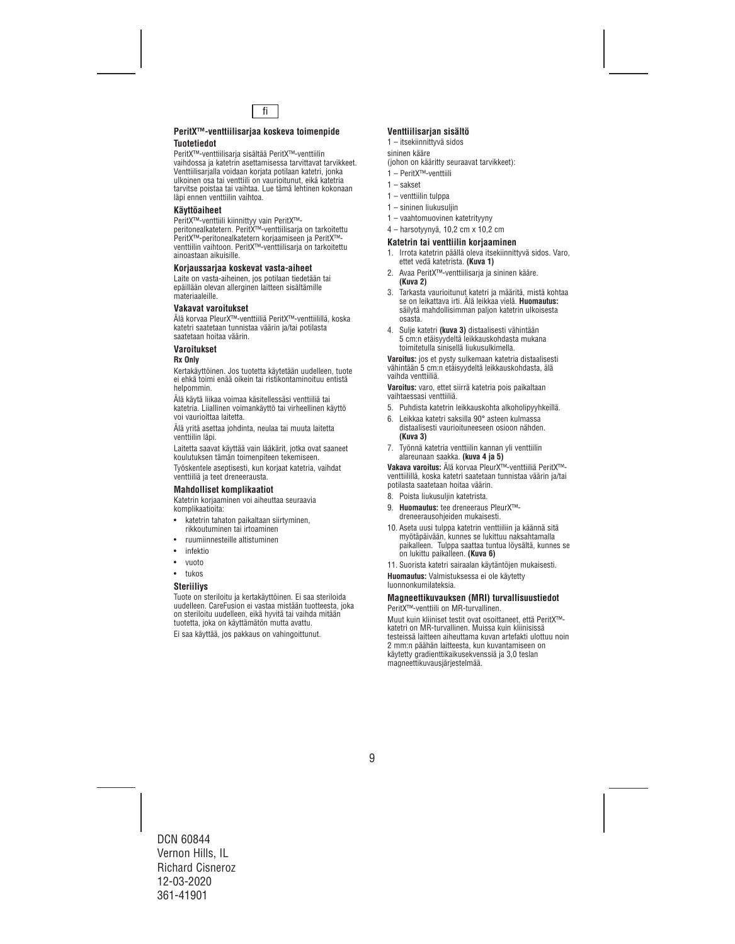

#### **PeritX™-venttiilisarjaa koskeva toimenpide Tuotetiedot**

PeritX™-venttiilisarja sisältää PeritX™-venttiilin vaihdossa ja katetrin asettamisessa tarvittavat tarvikkeet. Venttiilisarjalla voidaan korjata potilaan katetri, jonka ulkoinen osa tai venttiili on vaurioitunut, eikä katetria tarvitse poistaa tai vaihtaa. Lue tämä lehtinen kokonaan läpi ennen venttiilin vaihtoa.

#### **Käyttöaiheet**

PeritX™-venttiili kiinnittyy vain PeritX™ peritonealkatetern. PeritX™-venttiilisarja on tarkoitettu PeritX™-peritonealkatetern korjaamiseen ja PeritX™ venttiilin vaihtoon. PeritX™-venttiilisarja on tarkoitettu ainoastaan aikuisille.

#### **Korjaussarjaa koskevat vasta-aiheet**

Laite on vasta-aiheinen, jos potilaan tiedetään tai epäillään olevan allerginen laitteen sisältämille materiaaleille.

#### **Vakavat varoitukset**

Älä korvaa PleurX™-venttiiliä PeritX™-venttiilillä, koska katetri saatetaan tunnistaa väärin ja/tai potilasta saatetaan hoitaa väärin.

#### **Varoitukset**

#### **Rx Only**

Kertakäyttöinen. Jos tuotetta käytetään uudelleen, tuote ei ehkä toimi enää oikein tai ristikontaminoituu entistä helpommin.

Älä käytä liikaa voimaa käsitellessäsi venttiiliä tai katetria. Liiallinen voimankäyttö tai virheellinen käyttö voi vaurioittaa laitetta.

Älä yritä asettaa johdinta, neulaa tai muuta laitetta venttiilin läpi.

Laitetta saavat käyttää vain lääkärit, jotka ovat saaneet koulutuksen tämän toimenpiteen tekemiseen.

Työskentele aseptisesti, kun korjaat katetria, vaihdat venttiiliä ja teet dreneerausta.

#### **Mahdolliset komplikaatiot**

Katetrin korjaaminen voi aiheuttaa seuraavia komplikaatioita:

- katetrin tahaton paikaltaan siirtyminen, rikkoutuminen tai irtoaminen
- ruumiinnesteille altistuminen
- infektio
- vuoto
- tukos

#### **Steriiliys**

Tuote on steriloitu ja kertakäyttöinen. Ei saa steriloida uudelleen. CareFusion ei vastaa mistään tuotteesta, joka on steriloitu uudelleen, eikä hyvitä tai vaihda mitään tuotetta, joka on käyttämätön mutta avattu.

Ei saa käyttää, jos pakkaus on vahingoittunut.

#### **Venttiilisarjan sisältö**

1 – itsekiinnittyvä sidos

sininen kääre

- (johon on kääritty seuraavat tarvikkeet):
- 1 PeritX™-venttiili
- 1 sakset
- 1 venttiilin tulppa
- 1 sininen liukusuljin
- 1 vaahtomuovinen katetrityyny
- 4 harsotyynyä, 10,2 cm x 10,2 cm

#### **Katetrin tai venttiilin korjaaminen**

- 1. Irrota katetrin päällä oleva itsekiinnittyvä sidos. Varo, ettet vedä katetrista. **(Kuva 1)**
- 2. Avaa PeritX™-venttiilisarja ja sininen kääre. **(Kuva 2)**
- 3. Tarkasta vaurioitunut katetri ja määritä, mistä kohtaa se on leikattava irti. Älä leikkaa vielä. **Huomautus:** säilytä mahdollisimman paljon katetrin ulkoisesta osasta.
- 4. Sulje katetri **(kuva 3)** distaalisesti vähintään 5 cm:n etäisyydeltä leikkauskohdasta mukana toimitetulla sinisellä liukusulkimella.

**Varoitus:** jos et pysty sulkemaan katetria distaalisesti vähintään 5 cm:n etäisyydeltä leikkauskohdasta, älä vaihda venttiiliä.

**Varoitus:** varo, ettet siirrä katetria pois paikaltaan vaihtaessasi venttiiliä.

- 5. Puhdista katetrin leikkauskohta alkoholipyyhkeillä.
- 6. Leikkaa katetri saksilla 90° asteen kulmassa distaalisesti vaurioituneeseen osioon nähden. **(Kuva 3)**
- 7. Työnnä katetria venttiilin kannan yli venttiilin alareunaan saakka. **(kuva 4 ja 5)**

**Vakava varoitus:** Älä korvaa PleurX™-venttiiliä PeritX™ venttiilillä, koska katetri saatetaan tunnistaa väärin ja/tai potilasta saatetaan hoitaa väärin.

- 8. Poista liukusuljin katetrista.
- 9. **Huomautus:** tee dreneeraus PleurX™ dreneerausohjeiden mukaisesti.
- 10. Aseta uusi tulppa katetrin venttiiliin ja käännä sitä myötäpäivään, kunnes se lukittuu naksahtamalla paikalleen. Tulppa saattaa tuntua löysältä, kunnes se on lukittu paikalleen. **(Kuva 6)**

11. Suorista katetri sairaalan käytäntöjen mukaisesti. **Huomautus:** Valmistuksessa ei ole käytetty luonnonkumilateksia.

## **Magneettikuvauksen (MRI) turvallisuustiedot**

PeritX™-venttiili on MR-turvallinen.

Muut kuin kliiniset testit ovat osoittaneet, että PeritX™ katetri on MR-turvallinen. Muissa kuin kliinisissä testeissä laitteen aiheuttama kuvan artefakti ulottuu noin 2 mm:n päähän laitteesta, kun kuvantamiseen on käytetty gradienttikaikusekvenssiä ja 3,0 teslan magneettikuvausjärjestelmää.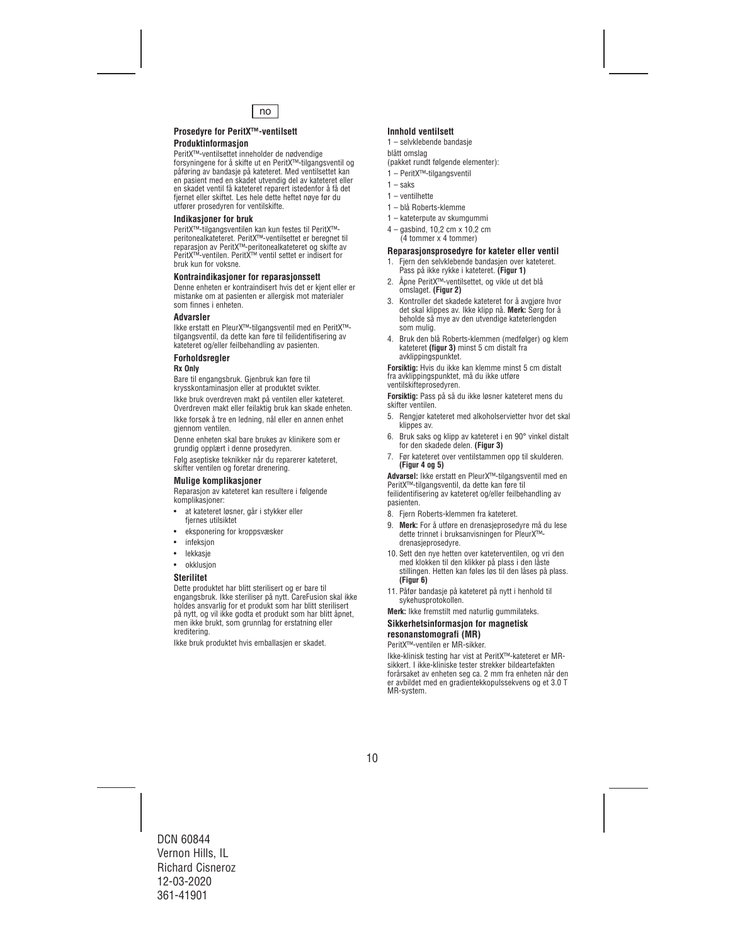

#### **Prosedyre for PeritX™-ventilsett Produktinformasjon**

PeritX™-ventilsettet inneholder de nødvendige forsyningene for å skifte ut en PeritX™-tilgangsventil og påføring av bandasje på kateteret. Med ventilsettet kan en pasient med en skadet utvendig del av kateteret eller en skadet ventil få kateteret reparert istedenfor å få det fiernet eller skiftet. Les hele dette heftet nøve før du utfører prosedyren for ventilskifte.

#### **Indikasjoner for bruk**

PeritX™-tilgangsventilen kan kun festes til PeritX™ peritonealkateteret. PeritX™-ventilsettet er beregnet til reparasjon av PeritX™-peritonealkateteret og skifte av PeritX™-ventilen. PeritX™ ventil settet er indisert for bruk kun for voksne.

#### **Kontraindikasjoner for reparasjonssett**

Denne enheten er kontraindisert hvis det er kjent eller er mistanke om at pasienten er allergisk mot materialer som finnes i enheten.

#### **Advarsler**

Ikke erstatt en PleurX™-tilgangsventil med en PeritX™ tilgangsventil, da dette kan føre til feilidentifisering av kateteret og/eller feilbehandling av pasienten.

### **Forholdsregler**

#### **Rx Only**

Bare til engangsbruk. Gjenbruk kan føre til krysskontaminasjon eller at produktet svikter.

Ikke bruk overdreven makt på ventilen eller kateteret.

Overdreven makt eller feilaktig bruk kan skade enheten. Ikke forsøk å tre en ledning, nål eller en annen enhet giennom ventilen.

Denne enheten skal bare brukes av klinikere som er grundig opplært i denne prosedyren.

Følg aseptiske teknikker når du reparerer kateteret, skifter ventilen og foretar drenering.

#### **Mulige komplikasjoner**

Reparasjon av kateteret kan resultere i følgende komplikasjoner:

- at kateteret løsner, går i stykker eller fiernes utilsiktet
- eksponering for kroppsvæsker
- infeksjon
- **lekkasje**
- okklusjon

#### **Sterilitet**

Dette produktet har blitt sterilisert og er bare til engangsbruk. Ikke steriliser på nytt. CareFusion skal ikke holdes ansvarlig for et produkt som har blitt sterilisert på nytt, og vil ikke godta et produkt som har blitt åpnet, men ikke brukt, som grunnlag for erstatning eller kreditering.

Ikke bruk produktet hvis emballasjen er skadet.

#### **Innhold ventilsett**

1 – selvklebende bandasje blått omslag

- (pakket rundt følgende elementer):
- 1 PeritX™-tilgangsventil
- $1 saks$
- 1 ventilhette
- 1 blå Roberts-klemme
- 1 kateterpute av skumgummi
- 4 gasbind, 10,2 cm x 10,2 cm (4 tommer x 4 tommer)

#### **Reparasjonsprosedyre for kateter eller ventil**

- 1. Fjern den selvklebende bandasjen over kateteret. Pass på ikke rykke i kateteret. **(Figur 1)**
- 2. Åpne PeritX™-ventilsettet, og vikle ut det blå omslaget. **(Figur 2)**
- 3. Kontroller det skadede kateteret for å avgjøre hvor det skal klippes av. Ikke klipp nå. **Merk:** Sørg for å beholde så mye av den utvendige kateterlengden som mulig.
- 4. Bruk den blå Roberts-klemmen (medfølger) og klem kateteret **(figur 3)** minst 5 cm distalt fra avklippingspunktet.

**Forsiktig:** Hvis du ikke kan klemme minst 5 cm distalt fra avklippingspunktet, må du ikke utføre ventilskifteprosedyren.

**Forsiktig:** Pass på så du ikke løsner kateteret mens du skifter ventilen.

- 5. Rengjør kateteret med alkoholservietter hvor det skal klippes av.
- 6. Bruk saks og klipp av kateteret i en 90° vinkel distalt for den skadede delen. **(Figur 3)**
- 7. Før kateteret over ventilstammen opp til skulderen. **(Figur 4 og 5)**

**Advarsel:** Ikke erstatt en PleurX™-tilgangsventil med en PeritX™-tilgangsventil, da dette kan føre til feilidentifisering av kateteret og/eller feilbehandling av pasienten.

- 8. Fiern Roberts-klemmen fra kateteret.
- 9. **Merk:** For å utføre en drenasjeprosedyre må du lese dette trinnet i bruksanvisningen for PleurX™ drenasjeprosedyre.
- 10. Sett den nye hetten over kateterventilen, og vri den med klokken til den klikker på plass i den låste stillingen. Hetten kan føles løs til den låses på plass. **(Figur 6)**
- 11. Påfør bandasje på kateteret på nytt i henhold til sykehusprotokollen.

**Merk:** Ikke fremstilt med naturlig gummilateks.

#### **Sikkerhetsinformasjon for magnetisk resonanstomografi (MR)**

PeritX™-ventilen er MR-sikker.

Ikke-klinisk testing har vist at PeritX™-kateteret er MRsikkert. I ikke-kliniske tester strekker bildeartefakten forårsaket av enheten seg ca. 2 mm fra enheten når den er avbildet med en gradientekkopulssekvens og et 3.0 T MR-system.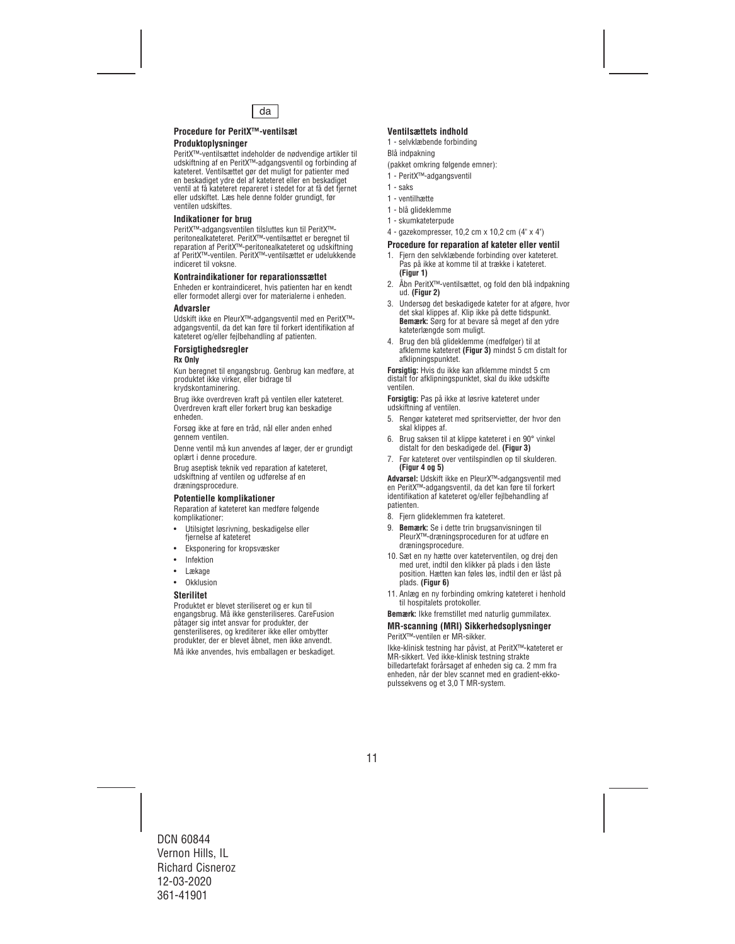

#### **Procedure for PeritX™-ventilsæt Produktoplysninger**

PeritX™-ventilsættet indeholder de nødvendige artikler til udskiftning af en PeritX™-adgangsventil og forbinding af kateteret. Ventilsættet gør det muligt for patienter med en beskadiget ydre del af kateteret eller en beskadiget ventil at få kateteret repareret i stedet for at få det fjernet eller udskiftet. Læs hele denne folder grundigt, før ventilen udskiftes.

#### **Indikationer for brug**

PeritX™-adgangsventilen tilsluttes kun til PeritX™ peritonealkateteret. PeritX™-ventilsættet er beregnet til reparation af PeritX™-peritonealkateteret og udskiftning af PeritX™-ventilen. PeritX™-ventilsættet er udelukkende indiceret til voksne.

#### **Kontraindikationer for reparationssættet**

Enheden er kontraindiceret, hvis patienten har en kendt eller formodet allergi over for materialerne i enheden.

#### **Advarsler**

Udskift ikke en PleurX™-adgangsventil med en PeritX™ adgangsventil, da det kan føre til forkert identifikation af kateteret og/eller fejlbehandling af patienten.

#### **Forsigtighedsregler Rx Only**

Kun beregnet til engangsbrug. Genbrug kan medføre, at produktet ikke virker, eller bidrage til krydskontaminering.

Brug ikke overdreven kraft på ventilen eller kateteret. Overdreven kraft eller forkert brug kan beskadige enheden.

Forsøg ikke at føre en tråd, nål eller anden enhed gennem ventilen.

Denne ventil må kun anvendes af læger, der er grundigt oplært i denne procedure.

Brug aseptisk teknik ved reparation af kateteret, udskiftning af ventilen og udførelse af en dræningsprocedure.

#### **Potentielle komplikationer**

Reparation af kateteret kan medføre følgende komplikationer:

- Utilsigtet løsrivning, beskadigelse eller fiernelse af kateteret
- Eksponering for kropsvæsker
- **Infektion**
- Lækage
- **Okklusion**

#### **Sterilitet**

Produktet er blevet steriliseret og er kun til engangsbrug. Må ikke gensteriliseres. CareFusion påtager sig intet ansvar for produkter, der gensteriliseres, og krediterer ikke eller ombytter produkter, der er blevet åbnet, men ikke anvendt.

Må ikke anvendes, hvis emballagen er beskadiget.

#### **Ventilsættets indhold**

- 1 selvklæbende forbinding
- Blå indpakning
- (pakket omkring følgende emner):
- 1 PeritX™-adgangsventil
- 1 saks
- 1 ventilhætte
- 1 blå glideklemme
- 1 skumkateterpude
- 4 gazekompresser, 10,2 cm x 10,2 cm (4" x 4")

#### **Procedure for reparation af kateter eller ventil**

- 1. Fjern den selvklæbende forbinding over kateteret. Pas på ikke at komme til at trække i kateteret. **(Figur 1)**
- 2. Åbn PeritX™-ventilsættet, og fold den blå indpakning ud. **(Figur 2)**
- 3. Undersøg det beskadigede kateter for at afgøre, hvor det skal klippes af. Klip ikke på dette tidspunkt. **Bemærk:** Sørg for at bevare så meget af den ydre kateterlængde som muligt.
- 4. Brug den blå glideklemme (medfølger) til at afklemme kateteret **(Figur 3)** mindst 5 cm distalt for afklipningspunktet.

**Forsigtig:** Hvis du ikke kan afklemme mindst 5 cm distalt for afklipningspunktet, skal du ikke udskifte ventilen.

**Forsigtig:** Pas på ikke at løsrive kateteret under udskiftning af ventilen.

- 5. Rengør kateteret med spritservietter, der hvor den skal klippes af.
- 6. Brug saksen til at klippe kateteret i en 90° vinkel distalt for den beskadigede del. **(Figur 3)**
- 7. Før kateteret over ventilspindlen op til skulderen. **(Figur 4 og 5)**

**Advarsel:** Udskift ikke en PleurX™-adgangsventil med en PeritX™-adgangsventil, da det kan føre til forkert identifikation af kateteret og/eller fejlbehandling af patienten.

- 8. Fjern glideklemmen fra kateteret.
- 9. **Bemærk:** Se i dette trin brugsanvisningen til PleurX™-dræningsproceduren for at udføre en dræningsprocedure.
- 10. Sæt en ny hætte over kateterventilen, og drej den med uret, indtil den klikker på plads i den låste position. Hætten kan føles løs, indtil den er låst på plads. **(Figur 6)**
- 11. Anlæg en ny forbinding omkring kateteret i henhold til hospitalets protokoller.

**Bemærk:** Ikke fremstillet med naturlig gummilatex.

#### **MR-scanning (MRI) Sikkerhedsoplysninger**  PeritX™-ventilen er MR-sikker.

Ikke-klinisk testning har påvist, at PeritX™-kateteret er MR-sikkert. Ved ikke-klinisk testning strakte billedartefakt forårsaget af enheden sig ca. 2 mm fra enheden, når der blev scannet med en gradient-ekkopulssekvens og et 3,0 T MR-system.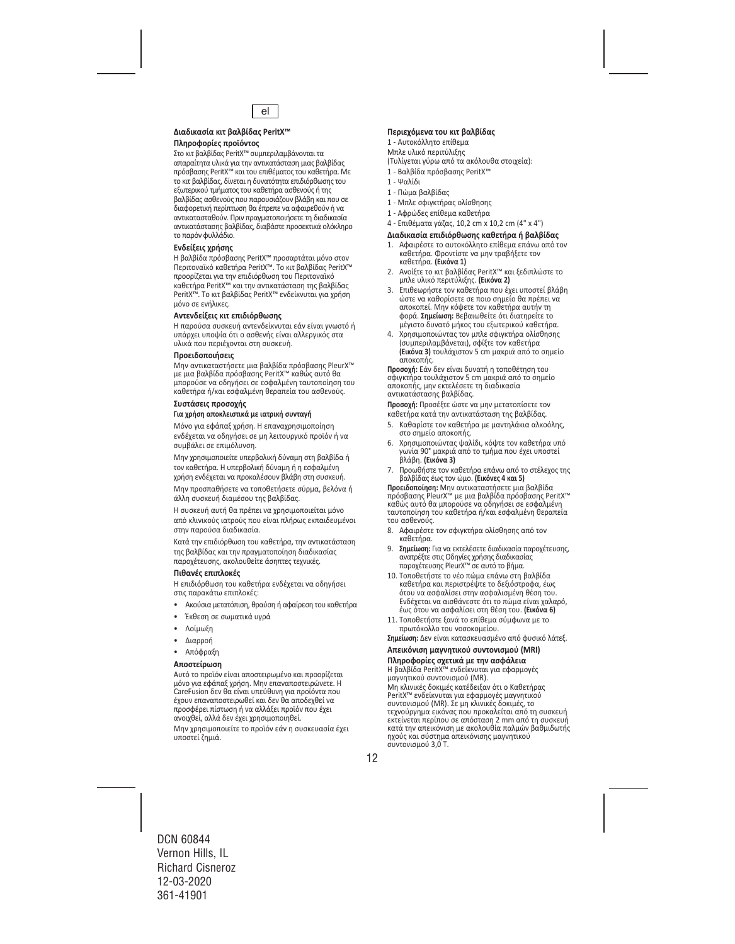

#### **Διαδικασία κιτ βαλβίδας PeritX™**

#### **Πληροφορίες προϊόντος**

Στο κιτ βαλβίδας PeritX™ συμπεριλαμβάνονταιτα απαραίτητα υλικά για την αντικατάσταση μιας βαλβίδας πρόσβασης PeritX™ καιτου επιθέματος του καθετήρα. Με το κιτ βαλβίδας, δίνεται η δυνατότητα επιδιόρθωσης του εξωτερικού τμήματος του καθετήρα ασθενούς ή της βαλβίδας ασθενούς που παρουσιάζουν βλάβη και που σε διαφορετική περίπτωση θα έπρεπε να αφαιρεθούν ή να αντικατασταθούν. Πριν πραγματοποιήσετε τη διαδικασία αντικατάστασης βαλβίδας, διαβάστε προσεκτικά ολόκληρο το παρόν φυλλάδιο.

#### **Ενδείξεις χρήσης**

Η βαλβίδα πρόσβασης PeritX™ προσαρτάται μόνο στον Περιτοναϊκό καθετήρα PeritX™. Το κιτ βαλβίδας PeritX™ προορίζεται για την επιδιόρθωση του Περιτοναϊκό καθετήρα PeritX™ και την αντικατάσταση της βαλβίδας PeritX™. Το κιτ βαλβίδας PeritX™ ενδείκνυται για χρήση μόνο σε ενήλικες.

#### **Αντενδείξεις κιτ επιδιόρθωσης**

Η παρούσα συσκευή αντενδείκνυται εάν είναι γνωστό ή υπάρχει υποψία ότι ο ασθενής είναι αλλεργικός στα υλικά που περιέχονται στη συσκευή.

#### **Προειδοποιήσεις**

Μην αντικαταστήσετε μια βαλβίδα πρόσβασης PleurX™ με μια βαλβίδα πρόσβασης PeritX™ καθώς αυτό θα μπορούσε να οδηγήσει σε εσφαλμένη ταυτοποίηση του καθετήρα ή/και εσφαλμένη θεραπεία του ασθενούς.

#### **Συστάσεις προσοχής**

#### **Για χρήση αποκλειστικά με ιατρική συνταγή**

Μόνο για εφάπαξ χρήση. Η επαναχρησιμοποίηση ενδέχεται να οδηγήσει σε μη λειτουργικό προϊόν ή να συμβάλει σε επιμόλυνση.

Μην χρησιμοποιείτε υπερβολική δύναμη στη βαλβίδα ή τον καθετήρα. Η υπερβολική δύναμη ή η εσφαλμένη χρήση ενδέχεται να προκαλέσουν βλάβη στη συσκευή.

Μην προσπαθήσετε να τοποθετήσετε σύρμα, βελόνα ή άλλη συσκευή διαμέσου της βαλβίδας.

Η συσκευή αυτή θα πρέπει να χρησιμοποιείται μόνο από κλινικούς ιατρούς που είναι πλήρως εκπαιδευμένοι στην παρούσα διαδικασία.

Κατά την επιδιόρθωση του καθετήρα, την αντικατάσταση της βαλβίδας και την πραγματοποίηση διαδικασίας παροχέτευσης, ακολουθείτε άσηπτες τεχνικές.

#### **Πιθανές επιπλοκές**

Η επιδιόρθωση του καθετήρα ενδέχεται να οδηγήσει στις παρακάτω επιπλοκές:

- Ακούσια μετατόπιση, θραύση ή αφαίρεση του καθετήρα
- Έκθεση σε σωματικά υγρά
- Λοίμωξη
- Διαρροή
- Απόφραξη

#### **Αποστείρωση**

Αυτό το προϊόν είναι αποστειρωμένο και προορίζεται μόνο για εφάπαξ χρήση. Μην επαναποστειρώνετε. Η CareFusion δεν θα είναι υπεύθυνη για προϊόντα που έχουν επαναποστειρωθεί και δεν θα αποδεχθεί να προσφέρει πίστωση ή να αλλάξει προϊόν που έχει ανοιχθεί, αλλά δεν έχει χρησιμοποιηθεί.

Μην χρησιμοποιείτε το προϊόν εάν η συσκευασία έχει υποστεί ζημιά.

#### **Περιεχόμενα του κιτ βαλβίδας**

1 ‐ Αυτοκόλλητο επίθεμα

Μπλε υλικό περιτύλιξης

- (Τυλίγεται γύρω από τα ακόλουθα στοιχεία):
- 1 ‐ Βαλβίδα πρόσβασης PeritX™
- 1 ‐ Ψαλίδι
- 1 ‐ Πώμα βαλβίδας
- 1 ‐ Μπλε σφιγκτήρας ολίσθησης
- 1 ‐ Αφρώδες επίθεμα καθετήρα
- 4 ‐ Επιθέματα γάζας, 10,2 cm x 10,2 cm (4" x 4")

#### **Διαδικασία επιδιόρθωσης καθετήρα ή βαλβίδας**

- 1. Αφαιρέστε το αυτοκόλλητο επίθεμα επάνω από τον καθετήρα. Φροντίστε να μην τραβήξετε τον καθετήρα. **(Εικόνα 1)**
- 2. Ανοίξτε το κιτ βαλβίδας PeritX™ και ξεδιπλώστε το μπλε υλικό περιτύλιξης. **(Εικόνα 2)**
- 3. Επιθεωρήστε τον καθετήρα που έχει υποστεί βλάβη ώστε να καθορίσετε σε ποιο σημείο θα πρέπει να αποκοπεί. Μην κόψετε τον καθετήρα αυτήν τη φορά. **Σημείωση:** Βεβαιωθείτε ότι διατηρείτε το μέγιστο δυνατό μήκος του εξωτερικού καθετήρα.
- 4. Χρησιμοποιώντας τον μπλε σφιγκτήρα ολίσθησης (συμπεριλαμβάνεται), σφίξτε τον καθετήρα **(Εικόνα 3)** τουλάχιστον 5 cm μακριά από το σημείο αποκοπής.

**Προσοχή:** Εάν δεν είναι δυνατή η τοποθέτηση του σφιγκτήρα τουλάχιστον 5 cm μακριά από το σημείο αποκοπής, μην εκτελέσετε τη διαδικασία αντικατάστασης βαλβίδας.

**Προσοχή:** Προσέξτε ώστε να μην μετατοπίσετε τον καθετήρα κατά την αντικατάσταση της βαλβίδας.

- 5. Καθαρίστε τον καθετήρα με μαντηλάκια αλκοόλης, στο σημείο αποκοπής.
- 6. Χρησιμοποιώντας ψαλίδι, κόψτε τον καθετήρα υπό γωνία 90° μακριά από το τμήμα που έχει υποστεί βλάβη. **(Εικόνα 3)**
- 7. Προωθήστε τον καθετήρα επάνω από το στέλεχος της βαλβίδας έως τον ώμο. **(Εικόνες 4 και 5)**

**Προειδοποίηση:** Μην αντικαταστήσετε μια βαλβίδα πρόσβασης PleurX™ με μια βαλβίδα πρόσβασης PeritX™ καθώς αυτό θα μπορούσε να οδηγήσει σε εσφαλμένη ταυτοποίηση του καθετήρα ή/και εσφαλμένη θεραπεία του ασθενούς.

- 8. Αφαιρέστε τον σφιγκτήρα ολίσθησης από τον καθετήρα.
- 9. **Σημείωση:** Για να εκτελέσετε διαδικασία παροχέτευσης, ανατρέξτε στις Οδηγίες χρήσης διαδικασίας παροχέτευσης PleurX™ σε αυτό το βήμα.
- 10. Τοποθετήστε το νέο πώμα επάνω στη βαλβίδα καθετήρα και περιστρέψτε το δεξιόστροφα, έως ότου να ασφαλίσει στην ασφαλισμένη θέση του. Ενδέχεται να αισθάνεστε ότι το πώμα είναι χαλαρό, έως ότου να ασφαλίσει στη θέση του. **(Εικόνα 6)**
- 11. Τοποθετήστε ξανά το επίθεμα σύμφωνα με το πρωτόκολλο του νοσοκομείου.

**Σημείωση:** Δεν είναι κατασκευασμένο από φυσικό λάτεξ.

#### **Απεικόνιση μαγνητικού συντονισμού (MRI)**

#### **Πληροφορίες σχετικά με την ασφάλεια**

Η βαλβίδα PeritX™ ενδείκνυται για εφαρμογές μαγνητικού συντονισμού (MR).

Μη κλινικές δοκιμές κατέδειξαν ότι ο Καθετήρας PeritX™ ενδείκνυται για εφαρμογές μαγνητικού συντονισμού (MR). Σε μη κλινικές δοκιμές, το τεχνούργημα εικόνας που προκαλείται από τη συσκευή εκτείνεται περίπου σε απόσταση 2 mm από τη συσκευή κατά την απεικόνιση με ακολουθία παλμών βαθμιδωτής ηχούς και σύστημα απεικόνισης μαγνητικού συντονισμού 3,0 T.